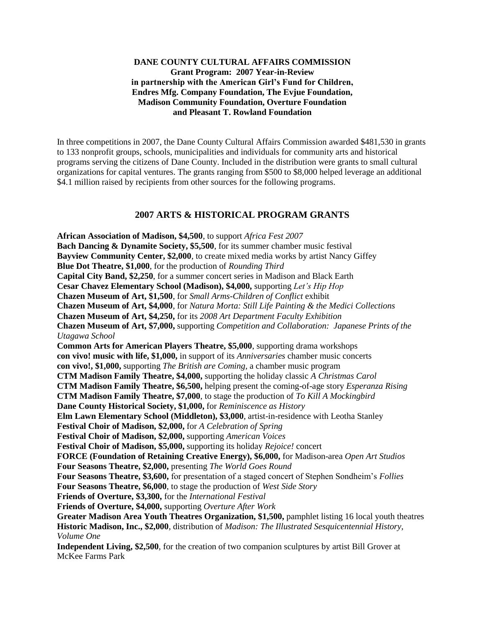## **DANE COUNTY CULTURAL AFFAIRS COMMISSION Grant Program: 2007 Year-in-Review in partnership with the American Girl's Fund for Children, Endres Mfg. Company Foundation, The Evjue Foundation, Madison Community Foundation, Overture Foundation and Pleasant T. Rowland Foundation**

In three competitions in 2007, the Dane County Cultural Affairs Commission awarded \$481,530 in grants to 133 nonprofit groups, schools, municipalities and individuals for community arts and historical programs serving the citizens of Dane County. Included in the distribution were grants to small cultural organizations for capital ventures. The grants ranging from \$500 to \$8,000 helped leverage an additional \$4.1 million raised by recipients from other sources for the following programs.

## **2007 ARTS & HISTORICAL PROGRAM GRANTS**

**African Association of Madison, \$4,500**, to support *Africa Fest 2007* **Bach Dancing & Dynamite Society, \$5,500**, for its summer chamber music festival **Bayview Community Center, \$2,000**, to create mixed media works by artist Nancy Giffey **Blue Dot Theatre, \$1,000**, for the production of *Rounding Third* **Capital City Band, \$2,250**, for a summer concert series in Madison and Black Earth **Cesar Chavez Elementary School (Madison), \$4,000,** supporting *Let's Hip Hop* **Chazen Museum of Art, \$1,500**, for *Small Arms-Children of Conflict* exhibit **Chazen Museum of Art, \$4,000**, for *Natura Morta: Still Life Painting & the Medici Collections* **Chazen Museum of Art, \$4,250,** for its *2008 Art Department Faculty Exhibition*  **Chazen Museum of Art, \$7,000,** supporting *Competition and Collaboration: Japanese Prints of the Utagawa School* **Common Arts for American Players Theatre, \$5,000**, supporting drama workshops **con vivo! music with life, \$1,000,** in support of its *Anniversaries* chamber music concerts **con vivo!, \$1,000,** supporting *The British are Coming,* a chamber music program **CTM Madison Family Theatre, \$4,000,** supporting the holiday classic *A Christmas Carol* **CTM Madison Family Theatre, \$6,500,** helping present the coming-of-age story *Esperanza Rising* **CTM Madison Family Theatre, \$7,000**, to stage the production of *To Kill A Mockingbird* **Dane County Historical Society, \$1,000,** for *Reminiscence as History* **Elm Lawn Elementary School (Middleton), \$3,000**, artist-in-residence with Leotha Stanley **Festival Choir of Madison, \$2,000,** for *A Celebration of Spring* **Festival Choir of Madison, \$2,000,** supporting *American Voices* **Festival Choir of Madison, \$5,000,** supporting its holiday *Rejoice!* concert **FORCE (Foundation of Retaining Creative Energy), \$6,000,** for Madison-area *Open Art Studios* **Four Seasons Theatre, \$2,000,** presenting *The World Goes Round* **Four Seasons Theatre, \$3,600,** for presentation of a staged concert of Stephen Sondheim's *Follies* **Four Seasons Theatre, \$6,000**, to stage the production of *West Side Story* **Friends of Overture, \$3,300,** for the *International Festival* **Friends of Overture, \$4,000,** supporting *Overture After Work* **Greater Madison Area Youth Theatres Organization, \$1,500,** pamphlet listing 16 local youth theatres **Historic Madison, Inc., \$2,000**, distribution of *Madison: The Illustrated Sesquicentennial History, Volume One* **Independent Living, \$2,500**, for the creation of two companion sculptures by artist Bill Grover at McKee Farms Park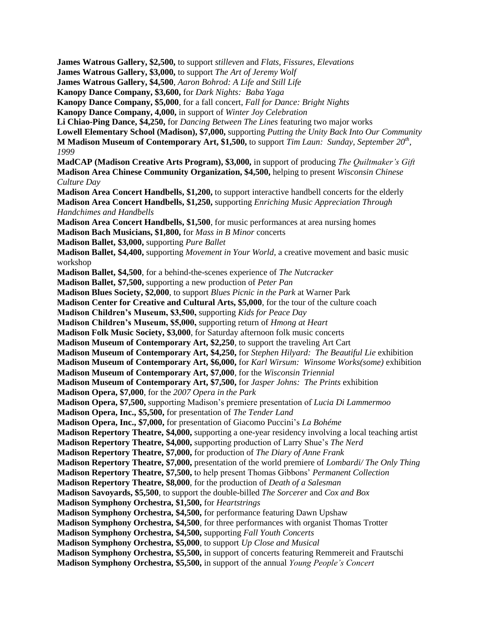**James Watrous Gallery, \$2,500,** to support *stilleven* and *Flats, Fissures, Elevations*  **James Watrous Gallery, \$3,000,** to support *The Art of Jeremy Wolf* **James Watrous Gallery, \$4,500**, *Aaron Bohrod: A Life and Still Life*  **Kanopy Dance Company, \$3,600,** for *Dark Nights: Baba Yaga* **Kanopy Dance Company, \$5,000**, for a fall concert, *Fall for Dance: Bright Nights* **Kanopy Dance Company, 4,000,** in support of *Winter Joy Celebration* **Li Chiao-Ping Dance, \$4,250,** for *Dancing Between The Lines* featuring two major works **Lowell Elementary School (Madison), \$7,000,** supporting *Putting the Unity Back Into Our Community* **M Madison Museum of Contemporary Art, \$1,500,** to support *Tim Laun: Sunday, September 20<sup>th</sup>, 1999* **MadCAP (Madison Creative Arts Program), \$3,000,** in support of producing *The Quiltmaker's Gift* **Madison Area Chinese Community Organization, \$4,500,** helping to present *Wisconsin Chinese Culture Day* **Madison Area Concert Handbells, \$1,200,** to support interactive handbell concerts for the elderly **Madison Area Concert Handbells, \$1,250,** supporting *Enriching Music Appreciation Through Handchimes and Handbells* **Madison Area Concert Handbells, \$1,500**, for music performances at area nursing homes **Madison Bach Musicians, \$1,800,** for *Mass in B Minor* concerts **Madison Ballet, \$3,000,** supporting *Pure Ballet* **Madison Ballet, \$4,400,** supporting *Movement in Your World,* a creative movement and basic music workshop **Madison Ballet, \$4,500**, for a behind-the-scenes experience of *The Nutcracker* **Madison Ballet, \$7,500,** supporting a new production of *Peter Pan* **Madison Blues Society, \$2,000**, to support *Blues Picnic in the Park* at Warner Park **Madison Center for Creative and Cultural Arts, \$5,000**, for the tour of the culture coach **Madison Children's Museum, \$3,500,** supporting *Kids for Peace Day* **Madison Children's Museum, \$5,000,** supporting return of *Hmong at Heart* **Madison Folk Music Society, \$3,000**, for Saturday afternoon folk music concerts **Madison Museum of Contemporary Art, \$2,250**, to support the traveling Art Cart **Madison Museum of Contemporary Art, \$4,250,** for *Stephen Hilyard: The Beautiful Lie* exhibition **Madison Museum of Contemporary Art, \$6,000,** for *Karl Wirsum: Winsome Works(some)* exhibition **Madison Museum of Contemporary Art, \$7,000**, for the *Wisconsin Triennial* **Madison Museum of Contemporary Art, \$7,500,** for *Jasper Johns: The Prints* exhibition **Madison Opera, \$7,000**, for the *2007 Opera in the Park* **Madison Opera, \$7,500,** supporting Madison's premiere presentation of *Lucia Di Lammermoo* **Madison Opera, Inc., \$5,500,** for presentation of *The Tender Land* **Madison Opera, Inc., \$7,000,** for presentation of Giacomo Puccini's *La Bohéme* **Madison Repertory Theatre, \$4,000,** supporting a one-year residency involving a local teaching artist **Madison Repertory Theatre, \$4,000,** supporting production of Larry Shue's *The Nerd* **Madison Repertory Theatre, \$7,000,** for production of *The Diary of Anne Frank* **Madison Repertory Theatre, \$7,000,** presentation of the world premiere of *Lombardi/ The Only Thing*  **Madison Repertory Theatre, \$7,500,** to help present Thomas Gibbons' *Permanent Collection* **Madison Repertory Theatre, \$8,000**, for the production of *Death of a Salesman* **Madison Savoyards, \$5,500**, to support the double-billed *The Sorcerer* and *Cox and Box* **Madison Symphony Orchestra, \$1,500,** for *Heartstrings* **Madison Symphony Orchestra, \$4,500,** for performance featuring Dawn Upshaw **Madison Symphony Orchestra, \$4,500**, for three performances with organist Thomas Trotter **Madison Symphony Orchestra, \$4,500,** supporting *Fall Youth Concerts* **Madison Symphony Orchestra, \$5,000**, to support *Up Close and Musical* **Madison Symphony Orchestra, \$5,500,** in support of concerts featuring Remmereit and Frautschi **Madison Symphony Orchestra, \$5,500,** in support of the annual *Young People's Concert*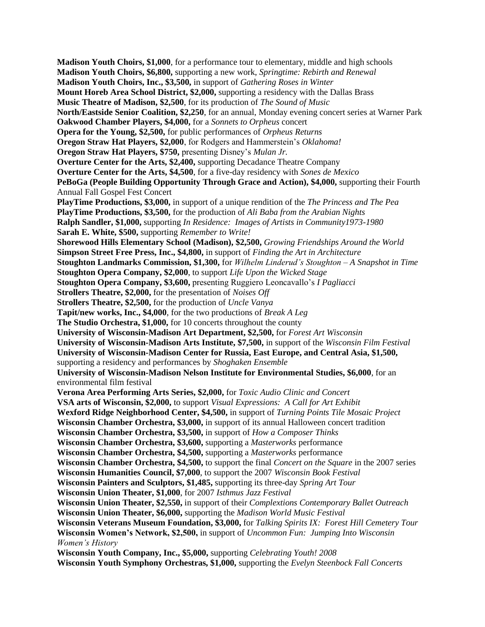**Madison Youth Choirs, \$1,000**, for a performance tour to elementary, middle and high schools **Madison Youth Choirs, \$6,800,** supporting a new work, *Springtime: Rebirth and Renewal* **Madison Youth Choirs, Inc., \$3,500,** in support of *Gathering Roses in Winter* **Mount Horeb Area School District, \$2,000,** supporting a residency with the Dallas Brass **Music Theatre of Madison, \$2,500**, for its production of *The Sound of Music* **North/Eastside Senior Coalition, \$2,250**, for an annual, Monday evening concert series at Warner Park **Oakwood Chamber Players, \$4,000,** for a *Sonnets to Orpheus* concert **Opera for the Young, \$2,500,** for public performances of *Orpheus Returns* **Oregon Straw Hat Players, \$2,000**, for Rodgers and Hammerstein's *Oklahoma!* **Oregon Straw Hat Players, \$750,** presenting Disney's *Mulan Jr.*  **Overture Center for the Arts, \$2,400,** supporting Decadance Theatre Company **Overture Center for the Arts, \$4,500**, for a five-day residency with *Sones de Mexico* **PeBoGa (People Building Opportunity Through Grace and Action), \$4,000,** supporting their Fourth Annual Fall Gospel Fest Concert **PlayTime Productions, \$3,000,** in support of a unique rendition of the *The Princess and The Pea* **PlayTime Productions, \$3,500,** for the production of *Ali Baba from the Arabian Nights* **Ralph Sandler, \$1,000,** supporting *In Residence: Images of Artists in Community1973-1980* **Sarah E. White, \$500,** supporting *Remember to Write!*  **Shorewood Hills Elementary School (Madison), \$2,500,** *Growing Friendships Around the World* **Simpson Street Free Press, Inc., \$4,800,** in support of *Finding the Art in Architecture* **Stoughton Landmarks Commission, \$1,300,** for *Wilhelm Linderud's Stoughton – A Snapshot in Time* **Stoughton Opera Company, \$2,000**, to support *Life Upon the Wicked Stage* **Stoughton Opera Company, \$3,600,** presenting Ruggiero Leoncavallo's *I Pagliacci* **Strollers Theatre, \$2,000,** for the presentation of *Noises Off* **Strollers Theatre, \$2,500,** for the production of *Uncle Vanya* **Tapit/new works, Inc., \$4,000**, for the two productions of *Break A Leg* **The Studio Orchestra, \$1,000,** for 10 concerts throughout the county **University of Wisconsin-Madison Art Department, \$2,500,** for *Forest Art Wisconsin* **University of Wisconsin-Madison Arts Institute, \$7,500,** in support of the *Wisconsin Film Festival* **University of Wisconsin-Madison Center for Russia, East Europe, and Central Asia, \$1,500,**  supporting a residency and performances by *Shoghaken Ensemble* **University of Wisconsin-Madison Nelson Institute for Environmental Studies, \$6,000**, for an environmental film festival **Verona Area Performing Arts Series, \$2,000,** for *Toxic Audio Clinic and Concert* **VSA arts of Wisconsin, \$2,000,** to support *Visual Expressions: A Call for Art Exhibit* **Wexford Ridge Neighborhood Center, \$4,500,** in support of *Turning Points Tile Mosaic Project* **Wisconsin Chamber Orchestra, \$3,000,** in support of its annual Halloween concert tradition **Wisconsin Chamber Orchestra, \$3,500,** in support of *How a Composer Thinks* **Wisconsin Chamber Orchestra, \$3,600,** supporting a *Masterworks* performance **Wisconsin Chamber Orchestra, \$4,500,** supporting a *Masterworks* performance **Wisconsin Chamber Orchestra, \$4,500,** to support the final *Concert on the Square* in the 2007 series **Wisconsin Humanities Council, \$7,000**, to support the 2007 *Wisconsin Book Festival*  **Wisconsin Painters and Sculptors, \$1,485,** supporting its three-day *Spring Art Tour* **Wisconsin Union Theater, \$1,000**, for 2007 *Isthmus Jazz Festival* **Wisconsin Union Theater, \$2,550,** in support of their *Complextions Contemporary Ballet Outreach* **Wisconsin Union Theater, \$6,000,** supporting the *Madison World Music Festival* **Wisconsin Veterans Museum Foundation, \$3,000,** for *Talking Spirits IX: Forest Hill Cemetery Tour* **Wisconsin Women's Network, \$2,500,** in support of *Uncommon Fun: Jumping Into Wisconsin Women's History* **Wisconsin Youth Company, Inc., \$5,000,** supporting *Celebrating Youth! 2008* **Wisconsin Youth Symphony Orchestras, \$1,000,** supporting the *Evelyn Steenbock Fall Concerts*